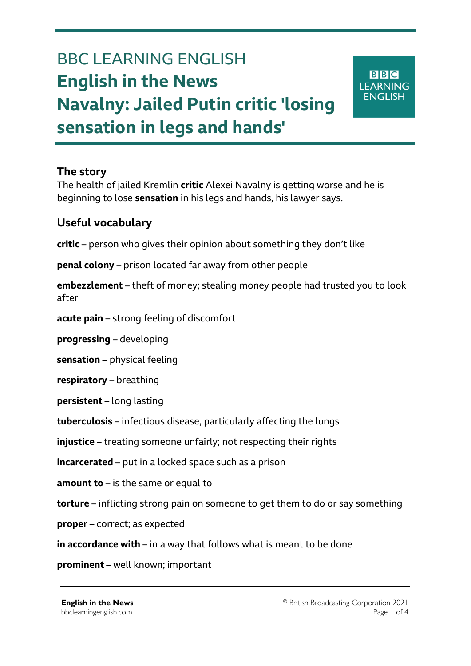# BBC LEARNING ENGLISH **English in the News Navalny: Jailed Putin critic 'losing sensation in legs and hands'**

**BBC LEARNING ENGLISH** 

## **The story**

Ξ

The health of jailed Kremlin **critic** Alexei Navalny is getting worse and he is beginning to lose **sensation** in his legs and hands, his lawyer says.

## **Useful vocabulary**

**critic** – person who gives their opinion about something they don't like

**penal colony** – prison located far away from other people

**embezzlement** – theft of money; stealing money people had trusted you to look after

**acute pain** – strong feeling of discomfort

**progressing** – developing

**sensation** – physical feeling

**respiratory** – breathing

**persistent** – long lasting

**tuberculosis** – infectious disease, particularly affecting the lungs

**injustice** – treating someone unfairly; not respecting their rights

**incarcerated** – put in a locked space such as a prison

**amount to** – is the same or equal to

**torture** – inflicting strong pain on someone to get them to do or say something

**proper** – correct; as expected

**in accordance with** – in a way that follows what is meant to be done

**prominent** – well known; important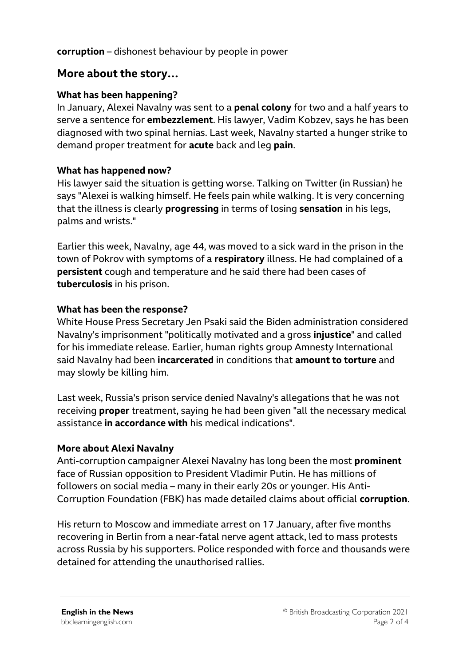**corruption** – dishonest behaviour by people in power

# **More about the story…**

## **What has been happening?**

In January, Alexei Navalny was sent to a **penal colony** for two and a half years to serve a sentence for **embezzlement**. His lawyer, Vadim Kobzev, says he has been diagnosed with two spinal hernias. Last week, Navalny started a hunger strike to demand proper treatment for **acute** back and leg **pain**.

#### **What has happened now?**

His lawyer said the situation is getting worse. Talking on Twitter (in Russian) he says "Alexei is walking himself. He feels pain while walking. It is very concerning that the illness is clearly **progressing** in terms of losing **sensation** in his legs, palms and wrists."

Earlier this week, Navalny, age 44, was moved to a sick ward in the prison in the town of Pokrov with symptoms of a **respiratory** illness. He had complained of a **persistent** cough and temperature and he said there had been cases of **tuberculosis** in his prison.

#### **What has been the response?**

White House Press Secretary Jen Psaki said the Biden administration considered Navalny's imprisonment "politically motivated and a gross **injustice**" and called for his immediate release. Earlier, human rights group Amnesty International said Navalny had been **incarcerated** in conditions that **amount to torture** and may slowly be killing him.

Last week, Russia's prison service denied Navalny's allegations that he was not receiving **proper** treatment, saying he had been given "all the necessary medical assistance **in accordance with** his medical indications".

## **More about Alexi Navalny**

Anti-corruption campaigner Alexei Navalny has long been the most **prominent**  face of Russian opposition to President Vladimir Putin. He has millions of followers on social media – many in their early 20s or younger. His Anti-Corruption Foundation (FBK) has made detailed claims about official **corruption**.

His return to Moscow and immediate arrest on 17 January, after five months recovering in Berlin from a near-fatal nerve agent attack, led to mass protests across Russia by his supporters. Police responded with force and thousands were detained for attending the unauthorised rallies.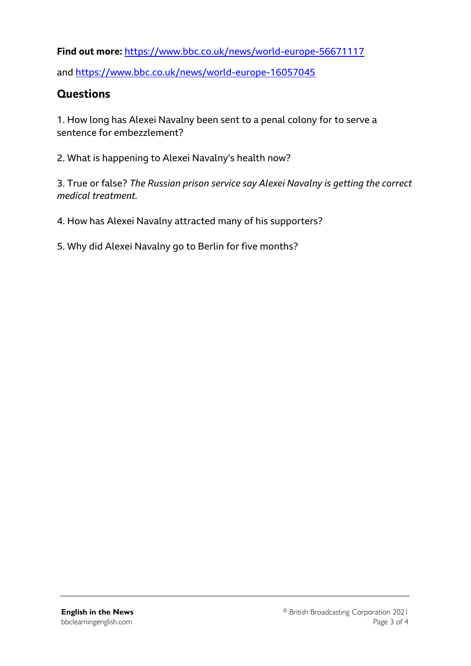**Find out more:** <https://www.bbc.co.uk/news/world-europe-56671117> and<https://www.bbc.co.uk/news/world-europe-16057045>

# **Questions**

1. How long has Alexei Navalny been sent to a penal colony for to serve a sentence for embezzlement?

2. What is happening to Alexei Navalny's health now?

3. True or false? *The Russian prison service say Alexei Navalny is getting the correct medical treatment.*

4. How has Alexei Navalny attracted many of his supporters?

5. Why did Alexei Navalny go to Berlin for five months?